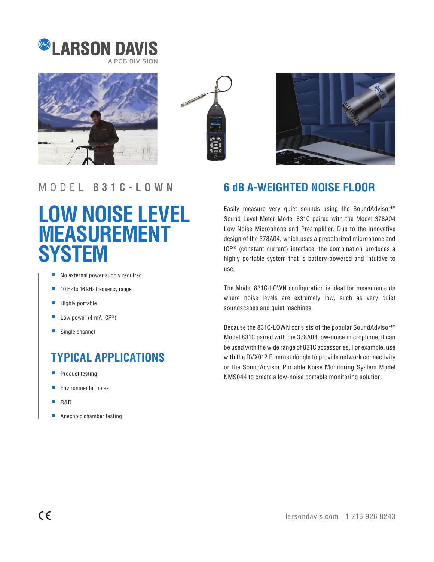







### MODEL **831C-LOWN**

# **LOW NOISE LEVEL MEASUREMENT SYSTEM**

- No external power supply required
- 10 Hz to 16 kHz frequency range
- Highly portable
- Low power (4 mA  $ICP^*$ )
- Single channel

## **TYPICAL APPLICATIONS**

- Product testing
- Environmental noise
- R&D
- Anechoic chamber testing

### **6 dB A-WEIGHTED NOISE FLOOR**

Easily measure very quiet sounds using the SoundAdvisor™ Sound Level Meter Model 831C paired with the Model 378A04 Low Noise Microphone and Preamplifier. Due to the innovative design of the 378A04, which uses a prepolarized microphone and ICP® (constant current) interface, the combination produces a highly portable system that is battery-powered and intuitive to use.

The Model 831C-LOWN configuration is ideal for measurements where noise levels are extremely low, such as very quiet soundscapes and quiet machines.

Because the 831C-LOWN consists of the popular SoundAdvisor™ Model 831C paired with the 378A04 low-noise microphone, it can be used with the wide range of 831C accessories. For example, use with the DVX012 Ethernet dongle to provide network connectivity or the SoundAdvisor Portable Noise Monitoring System Model NMS044 to create a low-noise portable monitoring solution.